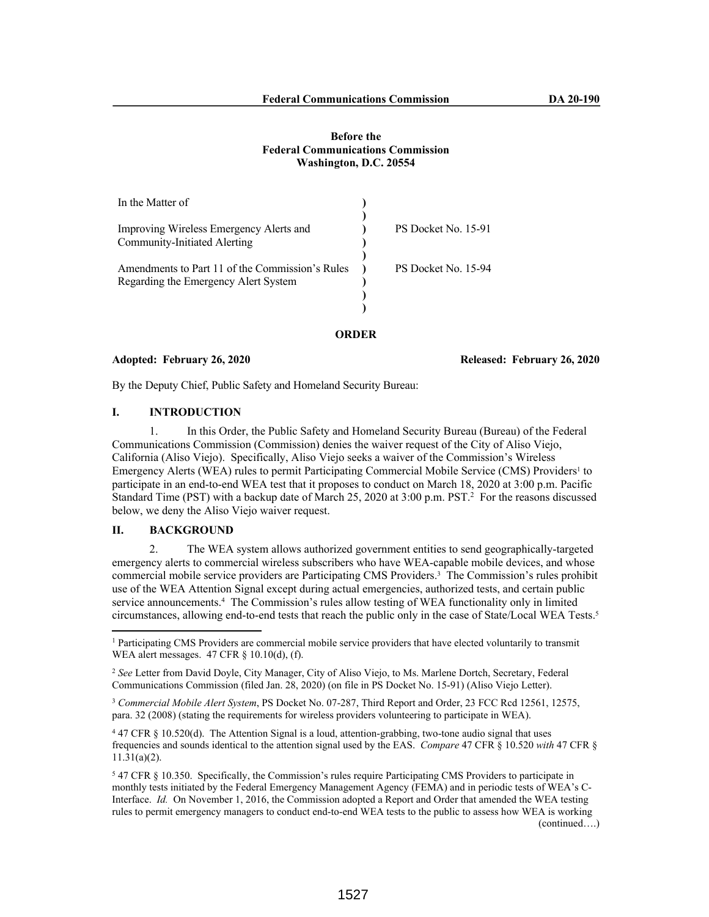## **Before the Federal Communications Commission Washington, D.C. 20554**

| In the Matter of                                |                     |
|-------------------------------------------------|---------------------|
|                                                 |                     |
| Improving Wireless Emergency Alerts and         | PS Docket No. 15-91 |
| Community-Initiated Alerting                    |                     |
|                                                 |                     |
| Amendments to Part 11 of the Commission's Rules | PS Docket No. 15-94 |
| Regarding the Emergency Alert System            |                     |
|                                                 |                     |
|                                                 |                     |
|                                                 |                     |

#### **ORDER**

#### **Adopted: February 26, 2020 Released: February 26, 2020**

By the Deputy Chief, Public Safety and Homeland Security Bureau:

### **I. INTRODUCTION**

1. In this Order, the Public Safety and Homeland Security Bureau (Bureau) of the Federal Communications Commission (Commission) denies the waiver request of the City of Aliso Viejo, California (Aliso Viejo). Specifically, Aliso Viejo seeks a waiver of the Commission's Wireless Emergency Alerts (WEA) rules to permit Participating Commercial Mobile Service (CMS) Providers<sup>1</sup> to participate in an end-to-end WEA test that it proposes to conduct on March 18, 2020 at 3:00 p.m. Pacific Standard Time (PST) with a backup date of March 25, 2020 at 3:00 p.m. PST.<sup>2</sup> For the reasons discussed below, we deny the Aliso Viejo waiver request.

# **II. BACKGROUND**

2. The WEA system allows authorized government entities to send geographically-targeted emergency alerts to commercial wireless subscribers who have WEA-capable mobile devices, and whose commercial mobile service providers are Participating CMS Providers.<sup>3</sup> The Commission's rules prohibit use of the WEA Attention Signal except during actual emergencies, authorized tests, and certain public service announcements.<sup>4</sup> The Commission's rules allow testing of WEA functionality only in limited circumstances, allowing end-to-end tests that reach the public only in the case of State/Local WEA Tests.<sup>5</sup>

<sup>&</sup>lt;sup>1</sup> Participating CMS Providers are commercial mobile service providers that have elected voluntarily to transmit WEA alert messages. 47 CFR § 10.10(d), (f).

<sup>2</sup> *See* Letter from David Doyle, City Manager, City of Aliso Viejo, to Ms. Marlene Dortch, Secretary, Federal Communications Commission (filed Jan. 28, 2020) (on file in PS Docket No. 15-91) (Aliso Viejo Letter).

<sup>3</sup> *Commercial Mobile Alert System*, PS Docket No. 07-287, Third Report and Order, 23 FCC Rcd 12561, 12575, para. 32 (2008) (stating the requirements for wireless providers volunteering to participate in WEA).

<sup>4</sup> 47 CFR § 10.520(d). The Attention Signal is a loud, attention-grabbing, two-tone audio signal that uses frequencies and sounds identical to the attention signal used by the EAS. *Compare* 47 CFR § 10.520 *with* 47 CFR § 11.31(a)(2).

<sup>5</sup> 47 CFR § 10.350. Specifically, the Commission's rules require Participating CMS Providers to participate in monthly tests initiated by the Federal Emergency Management Agency (FEMA) and in periodic tests of WEA's C-Interface. *Id.* On November 1, 2016, the Commission adopted a Report and Order that amended the WEA testing rules to permit emergency managers to conduct end-to-end WEA tests to the public to assess how WEA is working (continued….)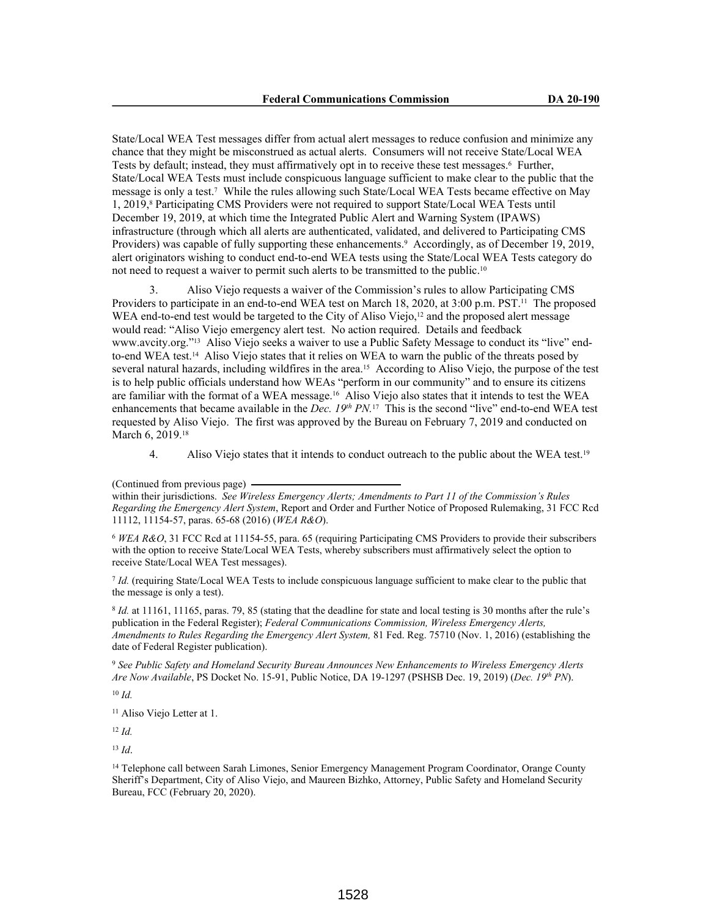State/Local WEA Test messages differ from actual alert messages to reduce confusion and minimize any chance that they might be misconstrued as actual alerts. Consumers will not receive State/Local WEA Tests by default; instead, they must affirmatively opt in to receive these test messages.<sup>6</sup> Further, State/Local WEA Tests must include conspicuous language sufficient to make clear to the public that the message is only a test.<sup>7</sup> While the rules allowing such State/Local WEA Tests became effective on May 1, 2019,<sup>8</sup> Participating CMS Providers were not required to support State/Local WEA Tests until December 19, 2019, at which time the Integrated Public Alert and Warning System (IPAWS) infrastructure (through which all alerts are authenticated, validated, and delivered to Participating CMS Providers) was capable of fully supporting these enhancements.<sup>9</sup> Accordingly, as of December 19, 2019, alert originators wishing to conduct end-to-end WEA tests using the State/Local WEA Tests category do not need to request a waiver to permit such alerts to be transmitted to the public.<sup>10</sup>

3. Aliso Viejo requests a waiver of the Commission's rules to allow Participating CMS Providers to participate in an end-to-end WEA test on March 18, 2020, at 3:00 p.m. PST.<sup>11</sup> The proposed WEA end-to-end test would be targeted to the City of Aliso Viejo, $12$  and the proposed alert message would read: "Aliso Viejo emergency alert test. No action required. Details and feedback www.avcity.org."13 Aliso Viejo seeks a waiver to use a Public Safety Message to conduct its "live" endto-end WEA test.14 Aliso Viejo states that it relies on WEA to warn the public of the threats posed by several natural hazards, including wildfires in the area.15 According to Aliso Viejo, the purpose of the test is to help public officials understand how WEAs "perform in our community" and to ensure its citizens are familiar with the format of a WEA message.16 Aliso Viejo also states that it intends to test the WEA enhancements that became available in the *Dec. 19th PN.*17 This is the second "live" end-to-end WEA test requested by Aliso Viejo. The first was approved by the Bureau on February 7, 2019 and conducted on March 6, 2019.<sup>18</sup>

4. Aliso Viejo states that it intends to conduct outreach to the public about the WEA test.<sup>19</sup>

<sup>6</sup> *WEA R&O*, 31 FCC Rcd at 11154-55, para. 65 (requiring Participating CMS Providers to provide their subscribers with the option to receive State/Local WEA Tests, whereby subscribers must affirmatively select the option to receive State/Local WEA Test messages).

7 *Id.* (requiring State/Local WEA Tests to include conspicuous language sufficient to make clear to the public that the message is only a test).

8 *Id.* at 11161, 11165, paras. 79, 85 (stating that the deadline for state and local testing is 30 months after the rule's publication in the Federal Register); *Federal Communications Commission, Wireless Emergency Alerts, Amendments to Rules Regarding the Emergency Alert System,* 81 Fed. Reg. 75710 (Nov. 1, 2016) (establishing the date of Federal Register publication).

<sup>9</sup> *See Public Safety and Homeland Security Bureau Announces New Enhancements to Wireless Emergency Alerts Are Now Available*, PS Docket No. 15-91, Public Notice, DA 19-1297 (PSHSB Dec. 19, 2019) (*Dec. 19th PN*).

<sup>10</sup> *Id.*

<sup>11</sup> Aliso Viejo Letter at 1.

 $12$  *Id.* 

<sup>13</sup> *Id*.

<sup>14</sup> Telephone call between Sarah Limones, Senior Emergency Management Program Coordinator, Orange County Sheriff's Department, City of Aliso Viejo, and Maureen Bizhko, Attorney, Public Safety and Homeland Security Bureau, FCC (February 20, 2020).

<sup>(</sup>Continued from previous page)

within their jurisdictions. *See Wireless Emergency Alerts; Amendments to Part 11 of the Commission's Rules Regarding the Emergency Alert System*, Report and Order and Further Notice of Proposed Rulemaking, 31 FCC Rcd 11112, 11154-57, paras. 65-68 (2016) (*WEA R&O*).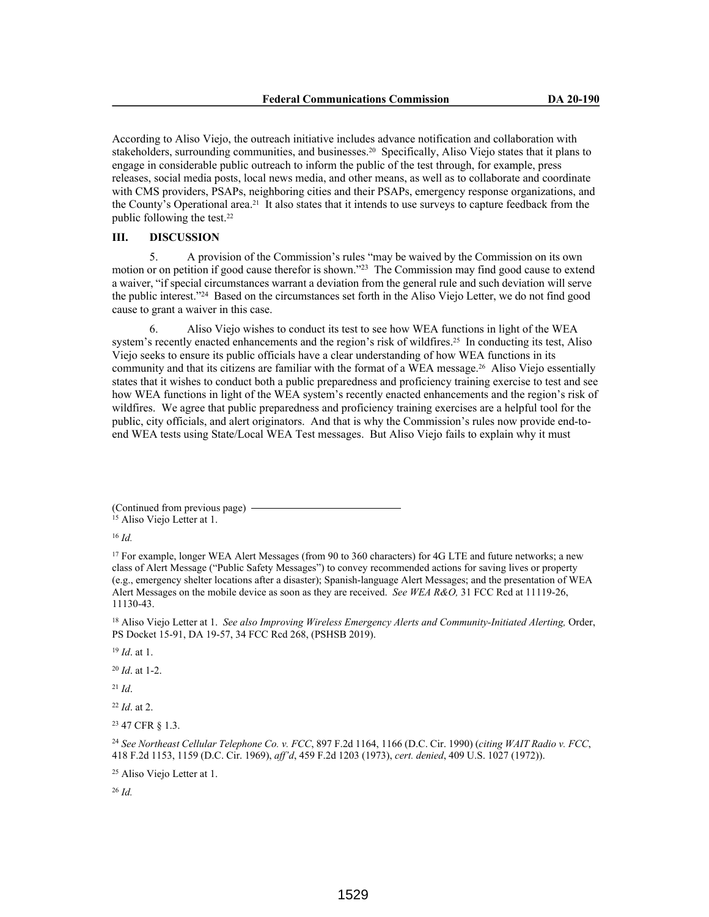According to Aliso Viejo, the outreach initiative includes advance notification and collaboration with stakeholders, surrounding communities, and businesses.<sup>20</sup> Specifically, Aliso Viejo states that it plans to engage in considerable public outreach to inform the public of the test through, for example, press releases, social media posts, local news media, and other means, as well as to collaborate and coordinate with CMS providers, PSAPs, neighboring cities and their PSAPs, emergency response organizations, and the County's Operational area.21 It also states that it intends to use surveys to capture feedback from the public following the test.<sup>22</sup>

### **III. DISCUSSION**

5. A provision of the Commission's rules "may be waived by the Commission on its own motion or on petition if good cause therefor is shown."<sup>23</sup> The Commission may find good cause to extend a waiver, "if special circumstances warrant a deviation from the general rule and such deviation will serve the public interest."<sup>24</sup> Based on the circumstances set forth in the Aliso Viejo Letter, we do not find good cause to grant a waiver in this case.

6. Aliso Viejo wishes to conduct its test to see how WEA functions in light of the WEA system's recently enacted enhancements and the region's risk of wildfires.<sup>25</sup> In conducting its test, Aliso Viejo seeks to ensure its public officials have a clear understanding of how WEA functions in its community and that its citizens are familiar with the format of a WEA message.26 Aliso Viejo essentially states that it wishes to conduct both a public preparedness and proficiency training exercise to test and see how WEA functions in light of the WEA system's recently enacted enhancements and the region's risk of wildfires. We agree that public preparedness and proficiency training exercises are a helpful tool for the public, city officials, and alert originators. And that is why the Commission's rules now provide end-toend WEA tests using State/Local WEA Test messages. But Aliso Viejo fails to explain why it must

<sup>16</sup> *Id.* 

<sup>18</sup> Aliso Viejo Letter at 1. *See also Improving Wireless Emergency Alerts and Community-Initiated Alerting*, Order, PS Docket 15-91, DA 19-57, 34 FCC Rcd 268, (PSHSB 2019).

<sup>19</sup> *Id*. at 1.

<sup>20</sup> *Id*. at 1-2.

<sup>21</sup> *Id*.

<sup>22</sup> *Id*. at 2.

<sup>23</sup> 47 CFR § 1.3.

<sup>24</sup> *See Northeast Cellular Telephone Co. v. FCC*, 897 F.2d 1164, 1166 (D.C. Cir. 1990) (*citing WAIT Radio v. FCC*, 418 F.2d 1153, 1159 (D.C. Cir. 1969), *aff'd*, 459 F.2d 1203 (1973), *cert. denied*, 409 U.S. 1027 (1972)).

<sup>25</sup> Aliso Viejo Letter at 1.

<sup>26</sup> *Id.* 

<sup>(</sup>Continued from previous page) <sup>15</sup> Aliso Viejo Letter at 1.

<sup>17</sup> For example, longer WEA Alert Messages (from 90 to 360 characters) for 4G LTE and future networks; a new class of Alert Message ("Public Safety Messages") to convey recommended actions for saving lives or property (e.g., emergency shelter locations after a disaster); Spanish-language Alert Messages; and the presentation of WEA Alert Messages on the mobile device as soon as they are received. *See WEA R&O,* 31 FCC Rcd at 11119-26, 11130-43.